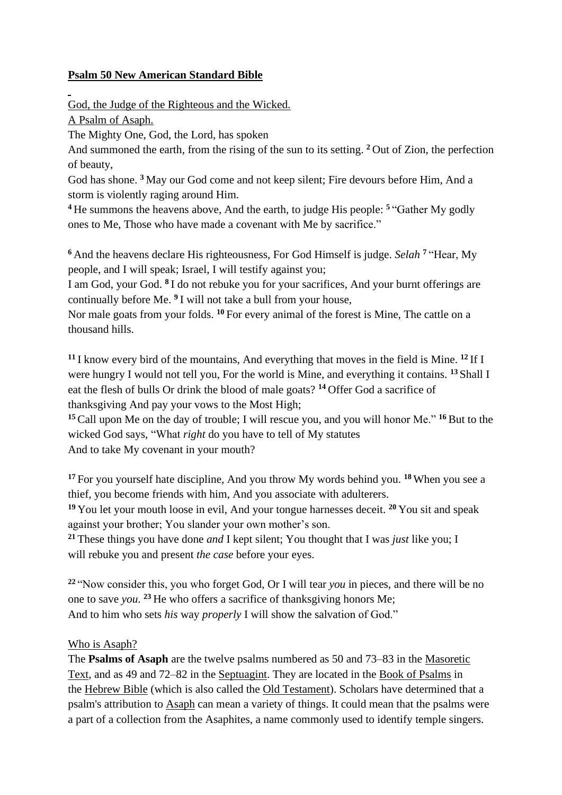## **Psalm 50 New American Standard Bible**

God, the Judge of the Righteous and the Wicked.

A Psalm of Asaph.

The Mighty One, God, the Lord, has spoken

And summoned the earth, from the rising of the sun to its setting. **<sup>2</sup>** Out of Zion, the perfection of beauty,

God has shone. **<sup>3</sup>** May our God come and not keep silent; Fire devours before Him, And a storm is violently raging around Him.

**<sup>4</sup>** He summons the heavens above, And the earth, to judge His people: **<sup>5</sup>** "Gather My godly ones to Me, Those who have made a covenant with Me by sacrifice."

**<sup>6</sup>** And the heavens declare His righteousness, For God Himself is judge. *Selah* **<sup>7</sup>** "Hear, My people, and I will speak; Israel, I will testify against you;

I am God, your God. <sup>8</sup> I do not rebuke you for your sacrifices, And your burnt offerings are continually before Me. **<sup>9</sup>** I will not take a bull from your house,

Nor male goats from your folds. **<sup>10</sup>** For every animal of the forest is Mine, The cattle on a thousand hills.

**<sup>11</sup>** I know every bird of the mountains, And everything that moves in the field is Mine. **<sup>12</sup>** If I were hungry I would not tell you, For the world is Mine, and everything it contains. **<sup>13</sup>** Shall I eat the flesh of bulls Or drink the blood of male goats? **<sup>14</sup>** Offer God a sacrifice of thanksgiving And pay your vows to the Most High;

**<sup>15</sup>**Call upon Me on the day of trouble; I will rescue you, and you will honor Me." **<sup>16</sup>** But to the wicked God says, "What *right* do you have to tell of My statutes And to take My covenant in your mouth?

**<sup>17</sup>** For you yourself hate discipline, And you throw My words behind you. **<sup>18</sup>** When you see a thief, you become friends with him, And you associate with adulterers.

**<sup>19</sup>** You let your mouth loose in evil, And your tongue harnesses deceit. **<sup>20</sup>** You sit and speak against your brother; You slander your own mother's son.

**<sup>21</sup>** These things you have done *and* I kept silent; You thought that I was *just* like you; I will rebuke you and present *the case* before your eyes.

**<sup>22</sup>** "Now consider this, you who forget God, Or I will tear *you* in pieces, and there will be no one to save *you*. **<sup>23</sup>** He who offers a sacrifice of thanksgiving honors Me; And to him who sets *his* way *properly* I will show the salvation of God."

## Who is Asaph?

The **Psalms of Asaph** are the twelve psalms numbered as 50 and 73–83 in the [Masoretic](https://en.wikipedia.org/wiki/Masoretic_Text)  [Text,](https://en.wikipedia.org/wiki/Masoretic_Text) and as 49 and 72–82 in the [Septuagint.](https://en.wikipedia.org/wiki/Septuagint) They are located in the [Book of Psalms](https://en.wikipedia.org/wiki/Psalms) in the [Hebrew Bible](https://en.wikipedia.org/wiki/Hebrew_Bible) (which is also called the [Old Testament\)](https://en.wikipedia.org/wiki/Old_Testament). Scholars have determined that a psalm's attribution to [Asaph](https://en.wikipedia.org/wiki/Asaph_(biblical_figure)) can mean a variety of things. It could mean that the psalms were a part of a collection from the Asaphites, a name commonly used to identify temple singers.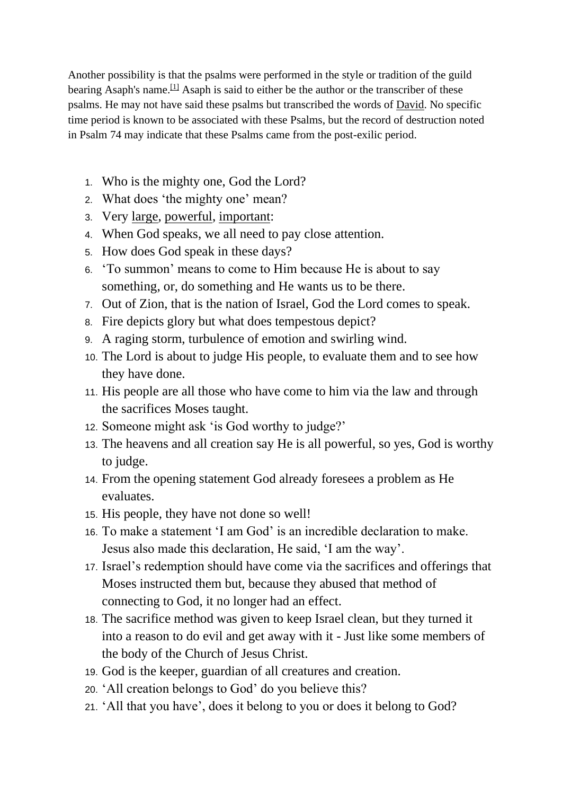Another possibility is that the psalms were performed in the style or tradition of the guild bearing Asaph's name.<sup>[\[1\]](https://en.wikipedia.org/wiki/Psalms_of_Asaph#cite_note-Freedman-1)</sup> Asaph is said to either be the author or the transcriber of these psalms. He may not have said these psalms but transcribed the words of [David.](https://en.wikipedia.org/wiki/David) No specific time period is known to be associated with these Psalms, but the record of destruction noted in Psalm 74 may indicate that these Psalms came from the post-exilic period.

- 1. Who is the mighty one, God the Lord?
- 2. What does 'the mighty one' mean?
- 3. Very [large,](https://dictionary.cambridge.org/dictionary/english/large) [powerful,](https://dictionary.cambridge.org/dictionary/english/powerful) [important:](https://dictionary.cambridge.org/dictionary/english/important)
- 4. When God speaks, we all need to pay close attention.
- 5. How does God speak in these days?
- 6. 'To summon' means to come to Him because He is about to say something, or, do something and He wants us to be there.
- 7. Out of Zion, that is the nation of Israel, God the Lord comes to speak.
- 8. Fire depicts glory but what does tempestous depict?
- 9. A raging storm, turbulence of emotion and swirling wind.
- 10. The Lord is about to judge His people, to evaluate them and to see how they have done.
- 11. His people are all those who have come to him via the law and through the sacrifices Moses taught.
- 12. Someone might ask 'is God worthy to judge?'
- 13. The heavens and all creation say He is all powerful, so yes, God is worthy to judge.
- 14. From the opening statement God already foresees a problem as He evaluates.
- 15. His people, they have not done so well!
- 16. To make a statement 'I am God' is an incredible declaration to make. Jesus also made this declaration, He said, 'I am the way'.
- 17. Israel's redemption should have come via the sacrifices and offerings that Moses instructed them but, because they abused that method of connecting to God, it no longer had an effect.
- 18. The sacrifice method was given to keep Israel clean, but they turned it into a reason to do evil and get away with it - Just like some members of the body of the Church of Jesus Christ.
- 19. God is the keeper, guardian of all creatures and creation.
- 20. 'All creation belongs to God' do you believe this?
- 21. 'All that you have', does it belong to you or does it belong to God?